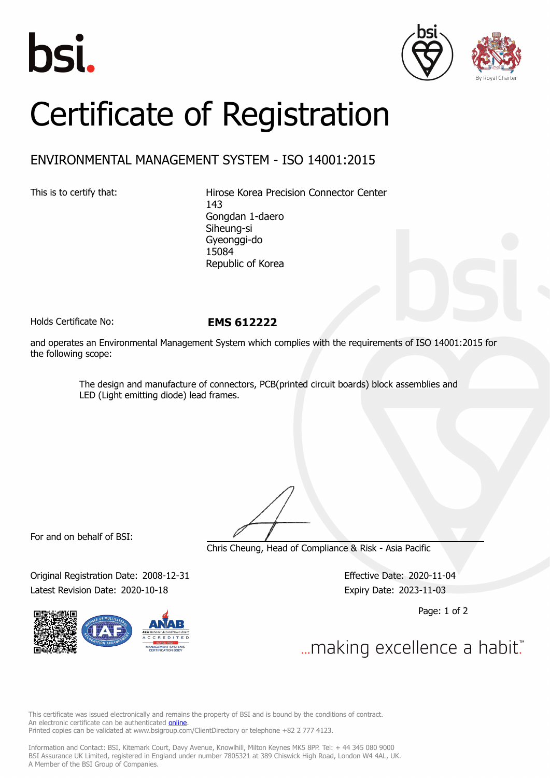





## Certificate of Registration

## ENVIRONMENTAL MANAGEMENT SYSTEM - ISO 14001:2015

This is to certify that: Hirose Korea Precision Connector Center 143 Gongdan 1-daero Siheung-si Gyeonggi-do 15084 Republic of Korea

Holds Certificate No: **EMS 612222**

and operates an Environmental Management System which complies with the requirements of ISO 14001:2015 for the following scope:

> The design and manufacture of connectors, PCB(printed circuit boards) block assemblies and LED (Light emitting diode) lead frames.

For and on behalf of BSI:

Chris Cheung, Head of Compliance & Risk - Asia Pacific

Original Registration Date: 2008-12-31 Effective Date: 2020-11-04 Latest Revision Date: 2020-10-18 Expiry Date: 2023-11-03

Page: 1 of 2

... making excellence a habit."

This certificate was issued electronically and remains the property of BSI and is bound by the conditions of contract. An electronic certificate can be authenticated **[online](https://pgplus.bsigroup.com/CertificateValidation/CertificateValidator.aspx?CertificateNumber=EMS+612222&ReIssueDate=18%2f10%2f2020&Template=korea_en)**. Printed copies can be validated at www.bsigroup.com/ClientDirectory or telephone +82 2 777 4123.

Information and Contact: BSI, Kitemark Court, Davy Avenue, Knowlhill, Milton Keynes MK5 8PP. Tel: + 44 345 080 9000 BSI Assurance UK Limited, registered in England under number 7805321 at 389 Chiswick High Road, London W4 4AL, UK. A Member of the BSI Group of Companies.